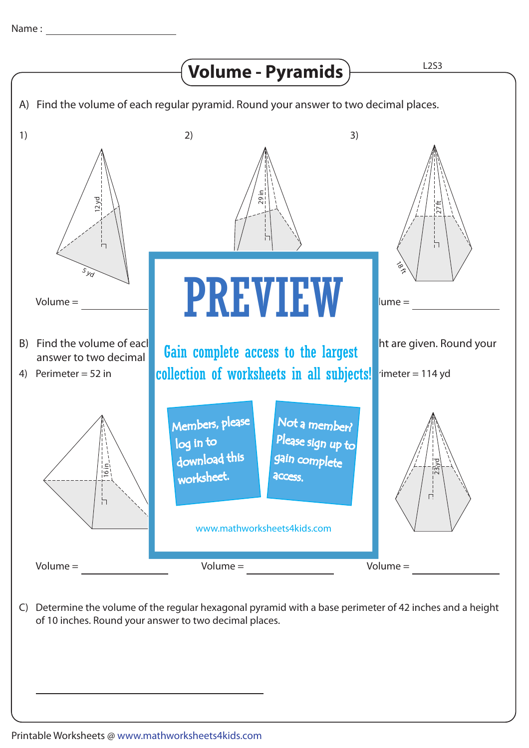